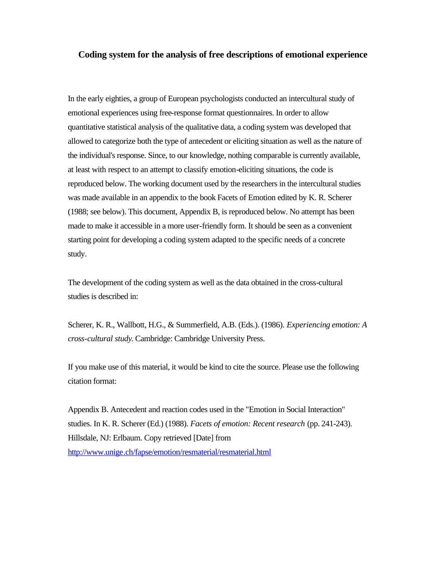## **Coding system for the analysis of free descriptions of emotional experience**

In the early eighties, a group of European psychologists conducted an intercultural study of emotional experiences using free-response format questionnaires. In order to allow quantitative statistical analysis of the qualitative data, a coding system was developed that allowed to categorize both the type of antecedent or eliciting situation as well as the nature of the individual's response. Since, to our knowledge, nothing comparable is currently available, at least with respect to an attempt to classify emotion-eliciting situations, the code is reproduced below. The working document used by the researchers in the intercultural studies was made available in an appendix to the book Facets of Emotion edited by K. R. Scherer (1988; see below). This document, Appendix B, is reproduced below. No attempt has been made to make it accessible in a more user-friendly form. It should be seen as a convenient starting point for developing a coding system adapted to the specific needs of a concrete study.

The development of the coding system as well as the data obtained in the cross-cultural studies is described in:

Scherer, K. R., Wallbott, H.G., & Summerfield, A.B. (Eds.). (1986). *Experiencing emotion: A cross-cultural study*. Cambridge: Cambridge University Press.

If you make use of this material, it would be kind to cite the source. Please use the following citation format:

Appendix B. Antecedent and reaction codes used in the "Emotion in Social Interaction" studies. In K. R. Scherer (Ed.) (1988). *Facets of emotion: Recent research* (pp. 241-243). Hillsdale, NJ: Erlbaum. Copy retrieved [Date] from http://www.unige.ch/fapse/emotion/resmaterial/resmaterial.html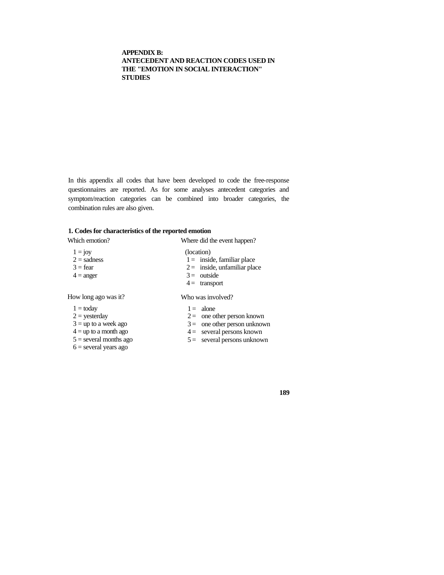## **APPENDIX B: ANTECEDENT AND REACTION CODES USED IN THE "EMOTION IN SOCIAL INTERACTION" STUDIES**

In this appendix all codes that have been developed to code the free-response questionnaires are reported. As for some analyses antecedent categories and symptom/reaction categories can be combined into broader categories, the combination rules are also given.

## **1. Codes for characteristics of the reported emotion**

| Which emotion?                                                                                                                             | Where did the event happen?                                                                                                                   |
|--------------------------------------------------------------------------------------------------------------------------------------------|-----------------------------------------------------------------------------------------------------------------------------------------------|
| $1 = joy$<br>$2 =$ sadness<br>$3 = fear$<br>$4 = \text{anger}$                                                                             | (location)<br>$1 =$ inside, familiar place<br>$2 =$ inside, unfamiliar place<br>$3 =$ outside<br>$4 =$ transport                              |
| How long ago was it?                                                                                                                       | Who was involved?                                                                                                                             |
| $1 =$ today<br>$2 =$ yesterday<br>$3 =$ up to a week ago<br>$4 =$ up to a month ago<br>$5 =$ several months ago<br>$6$ = several years ago | $1 =$ alone<br>$2 =$ one other person known<br>$3 =$ one other person unknown<br>$4 =$ several persons known<br>$5 =$ several persons unknown |

**189**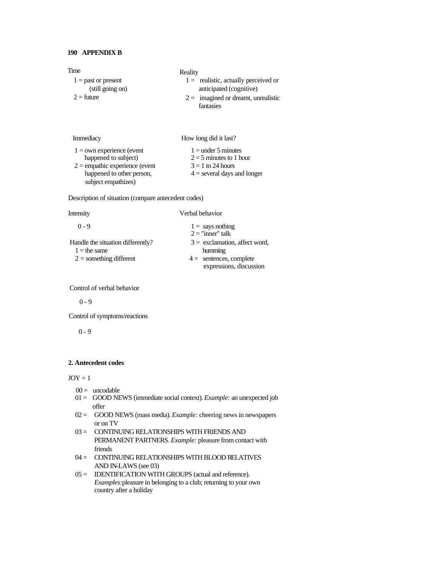| Time                                                                                                                                        | Reality                                                                                                    |
|---------------------------------------------------------------------------------------------------------------------------------------------|------------------------------------------------------------------------------------------------------------|
| $1 =$ past or present<br>(still going on)                                                                                                   | $1 =$ realistic, actually perceived or<br>anticipated (cognitive)                                          |
| $2 =$ future                                                                                                                                | $2 =$ imagined or dreamt, unrealistic<br>fantasies                                                         |
| Immediacy                                                                                                                                   | How long did it last?                                                                                      |
| $1 =$ own experience (event<br>happened to subject)<br>$2$ = empathic experience (event<br>happened to other person,<br>subject empathizes) | $1 =$ under 5 minutes<br>$2 = 5$ minutes to 1 hour<br>$3 = 1$ to 24 hours<br>$4 =$ several days and longer |
| Description of situation (compare antecedent codes)                                                                                         |                                                                                                            |
| Intensity                                                                                                                                   | Verbal behavior                                                                                            |
| $0 - 9$                                                                                                                                     | $1 =$ says nothing<br>$2 =$ "inner" talk                                                                   |
| Handle the situation differently?                                                                                                           | $3 =$ exclamation, affect word,                                                                            |
| $1 =$ the same                                                                                                                              | humming                                                                                                    |
| $2 =$ something different                                                                                                                   | $4 =$ sentences, complete<br>expressions, discussion                                                       |

Control of verbal behavior

 $0 - 9$ 

Control of symptoms/reactions

 $0 - 9$ 

## **2. Antecedent codes**

 $JOY = 1$ 

- $00 =$  uncodable
- 01 = GOOD NEWS (immediate social context). *Example:* an unexpected job offer
- 02 = GOOD NEWS (mass media). *Example:* cheering news in newspapers or on TV
- 03 = CONTINUING RELATIONSHIPS WITH FRIENDS AND PERMANENT PARTNERS. *Example:* pleasure from contact with friends
- 04 = CONTINUING RELATIONSHIPS WITH BLOOD RELATIVES AND IN-LAWS (see 03)
- 05 = IDENTIFICATION WITH GROUPS (actual and reference). *Examples:*pleasure in belonging to a club; returning to your own country after a holiday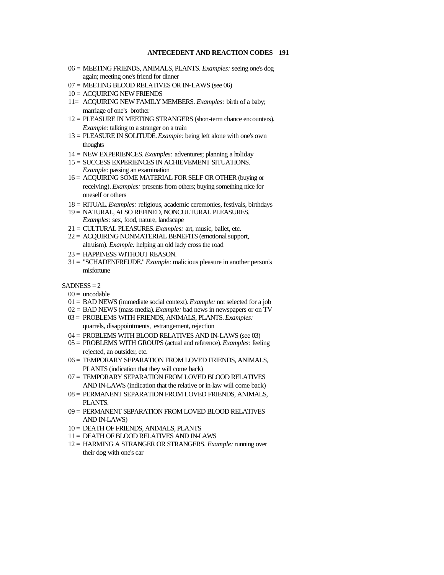- 06 = MEETING FRIENDS, ANIMALS, PLANTS. *Examples:* seeing one's dog again; meeting one's friend for dinner
- 07 = MEETING BLOOD RELATIVES OR IN-LAWS (see 06)
- 10 = ACQUIRING NEW FRIENDS
- 11= ACQUIRING NEW FAMILY MEMBERS. *Examples:* birth of a baby; marriage of one's brother
- 12 = PLEASURE IN MEETING STRANGERS (short-term chance encounters). *Example:* talking to a stranger on a train
- 13 **=** PLEASURE IN SOLITUDE. *Example:* being left alone with one's own thoughts
- 14 = NEW EXPERIENCES. *Examples:* adventures; planning a holiday
- 15 = SUCCESS EXPERIENCES IN ACHIEVEMENT SITUATIONS. *Example:* passing an examination
- 16 = ACQUIRING SOME MATERIAL FOR SELF OR OTHER (buying or receiving). *Examples:* presents from others; buying something nice for oneself or others
- 18 = RITUAL. *Examples:* religious, academic ceremonies, festivals, birthdays
- 19 = NATURAL, ALSO REFINED, NONCULTURAL PLEASURES. *Examples:* sex, food, nature, landscape
- 21 = CULTURAL PLEASURES. *Examples:* art, music, ballet, etc.
- 22 = ACQUIRING NONMATERIAL BENEFITS (emotional support, altruism). *Example:* helping an old lady cross the road
- 23 = HAPPINESS WITHOUT REASON.
- 31 = "SCHADENFREUDE." *Example:* malicious pleasure in another person's misfortune

### $SADNESS = 2$

- $00 =$  uncodable
- 01 = BAD NEWS (immediate social context). *Example:* not selected for a job
- 02 = BAD NEWS (mass media). *Example:* bad news in newspapers or on TV
- 03 = PROBLEMS WITH FRIENDS, ANIMALS, PLANTS. *Examples:* quarrels, disappointments, estrangement, rejection
- 04 = PROBLEMS WITH BLOOD RELATIVES AND IN-LAWS (see 03)
- 05 = PROBLEMS WITH GROUPS (actual and reference). *Examples:* feeling rejected, an outsider, etc.
- 06 = TEMPORARY SEPARATION FROM LOVED FRIENDS, ANIMALS, PLANTS (indication that they will come back)
- 07 = TEMPORARY SEPARATION FROM LOVED BLOOD RELATIVES AND IN-LAWS (indication that the relative or in-law will come back)
- 08 = PERMANENT SEPARATION FROM LOVED FRIENDS, ANIMALS, PLANTS.
- 09 = PERMANENT SEPARATION FROM LOVED BLOOD RELATIVES AND IN-LAWS)
- 10 = DEATH OF FRIENDS, ANIMALS, PLANTS
- 11 = DEATH OF BLOOD RELATIVES AND IN-LAWS
- 12 = HARMING A STRANGER OR STRANGERS. *Example:* running over their dog with one's car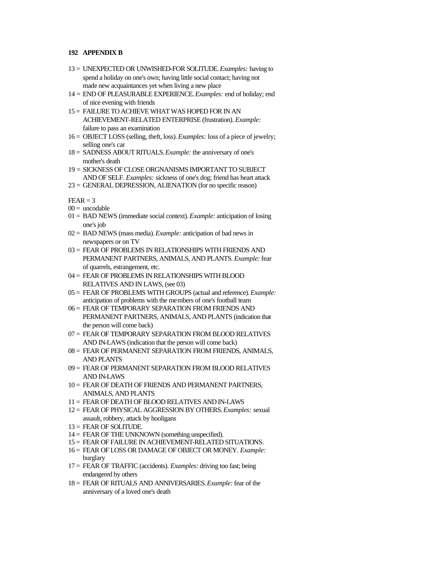- 13 = UNEXPECTED OR UNWISHED-FOR SOLITUDE. *Examples:* having to spend a holiday on one's own; having little social contact; having not made new acquaintances yet when living a new place
- 14 = END OF PLEASURABLE EXPERIENCE. *Examples:* end of holiday; end of nice evening with friends
- 15 = FAILURE TO ACHIEVE WHAT WAS HOPED FOR IN AN ACHIEVEMENT-RELATED ENTERPRISE (frustration). *Example:* failure to pass an examination
- 16 = OBJECT LOSS (selling, theft, loss). *Examples:* loss of a piece of jewelry; selling one's car
- 18 = SADNESS ABOUT RITUALS. *Example:* the anniversary of one's mother's death
- 19 = SICKNESS OF CLOSE ORGNANISMS IMPORTANT TO SUBJECT AND OF SELF. *Examples:* sickness of one's dog; friend has heart attack
- 23 = GENERAL DEPRESSION, ALIENATION (for no specific reason)

 $FFAR - 3$ 

- $00 =$  uncodable
- 01 = BAD NEWS (immediate social context). *Example:* anticipation of losing one's job
- 02 = BAD NEWS (mass media). *Example:* anticipation of bad news in newspapers or on TV
- 03 = FEAR OF PROBLEMS IN RELATIONSHIPS WITH FRIENDS AND PERMANENT PARTNERS, ANIMALS, AND PLANTS. *Example:* fear of quarrels, estrangement, etc.
- 04 = FEAR OF PROBLEMS IN RELATIONSHIPS WITH BLOOD RELATIVES AND IN LAWS, (see 03)
- 05 = FEAR OF PROBLEMS WITH GROUPS (actual and reference). *Example:*  anticipation of problems with the members of one's football team
- 06 = FEAR OF TEMPORARY SEPARATION FROM FRIENDS AND PERMANENT PARTNERS, ANIMALS, AND PLANTS (indication that the person will come back)
- 07 = FEAR OF TEMPORARY SEPARATION FROM BLOOD RELATIVES AND IN-LAWS (indication that the person will come back)
- 08 = FEAR OF PERMANENT SEPARATION FROM FRIENDS, ANIMALS, AND PLANTS
- 09 = FEAR OF PERMANENT SEPARATION FROM BLOOD RELATIVES AND IN-LAWS
- 10 = FEAR OF DEATH OF FRIENDS AND PERMANENT PARTNERS, ANIMALS, AND PLANTS
- 11 = FEAR OF DEATH OF BLOOD RELATIVES AND IN-LAWS
- 12 = FEAR OF PHYSICAL AGGRESSION BY OTHERS. *Examples:* sexual assault, robbery, attack by hooligans
- 13 = FEAR OF SOLITUDE.
- $14 =$  FEAR OF THE UNKNOWN (something unspecified).
- 15 = FEAR OF FAILURE IN ACHIEVEMENT-RELATED SITUATIONS.
- 16 = FEAR OF LOSS OR DAMAGE OF OBJECT OR MONEY. *Example:* burglary
- 17 = FEAR OF TRAFFIC (accidents). *Examples:* driving too fast; being endangered by others
- 18 = FEAR OF RITUALS AND ANNIVERSARIES. *Example:* fear of the anniversary of a loved one's death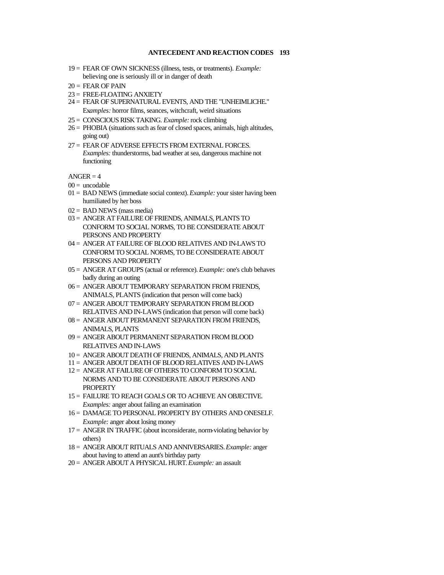- 19 = FEAR OF OWN SICKNESS (illness, tests, or treatments). *Example:* believing one is seriously ill or in danger of death
- $20 =$  FEAR OF PAIN
- 23 = FREE-FLOATING ANXIETY
- 24 = FEAR OF SUPERNATURAL EVENTS, AND THE "UNHEIMLICHE." Ex*amples:* horror films, seances, witchcraft, weird situations
- 25 = CONSCIOUS RISK TAKING. *Example:* rock climbing
- 26 = PHOBIA (situations such as fear of closed spaces, animals, high altitudes, going out)
- 27 = FEAR OF ADVERSE EFFECTS FROM EXTERNAL FORCES. *Examples:* thunderstorms, bad weather at sea, dangerous machine not functioning

 $ANGER = 4$ 

- $00 =$  uncodable
- 01 = BAD NEWS (immediate social context). *Example:* your sister having been humiliated by her boss
- $02 =$  BAD NEWS (mass media)
- 03 = ANGER AT FAILURE OF FRIENDS, ANIMALS, PLANTS TO CONFORM TO SOCIAL NORMS, TO BE CONSIDERATE ABOUT PERSONS AND PROPERTY
- 04 = ANGER AT FAILURE OF BLOOD RELATIVES AND IN-LAWS TO CONFORM TO SOCIAL NORMS, TO BE CONSIDERATE ABOUT PERSONS AND PROPERTY
- 05 = ANGER AT GROUPS (actual or reference). *Example:* one's club behaves badly during an outing
- 06 = ANGER ABOUT TEMPORARY SEPARATION FROM FRIENDS, ANIMALS, PLANTS (indication that person will come back)
- 07 = ANGER ABOUT TEMPORARY SEPARATION FROM BLOOD RELATIVES AND IN-LAWS (indication that person will come back)
- 08 = ANGER ABOUT PERMANENT SEPARATION FROM FRIENDS, ANIMALS, PLANTS
- 09 = ANGER ABOUT PERMANENT SEPARATION FROM BLOOD RELATIVES AND IN-LAWS
- 10 = ANGER ABOUT DEATH OF FRIENDS, ANIMALS, AND PLANTS
- 11 = ANGER ABOUT DEATH OF BLOOD RELATIVES AND IN-LAWS
- 12 = ANGER AT FAILURE OF OTHERS TO CONFORM TO SOCIAL NORMS AND TO BE CONSIDERATE ABOUT PERSONS AND PROPERTY
- 15 = FAILURE TO REACH GOALS OR TO ACHIEVE AN OBJECTIVE. *Examples:* anger about failing an examination
- 16 = DAMAGE TO PERSONAL PROPERTY BY OTHERS AND ONESELF. *Example:* anger about losing money
- $17 = ANGER IN TRAFFIC$  (about inconsiderate, norm-violating behavior by others)
- 18 = ANGER ABOUT RITUALS AND ANNIVERSARIES. *Example:* anger about having to attend an aunt's birthday party
- 20 = ANGER ABOUT A PHYSICAL HURT. *Example:* an assault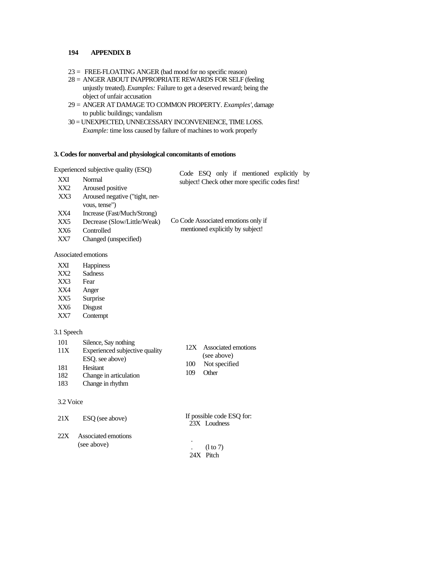- 23 = FREE-FLOATING ANGER (bad mood for no specific reason)
- 28 = ANGER ABOUT INAPPROPRIATE REWARDS FOR SELF (feeling unjustly treated). *Examples:* Failure to get a deserved reward; being the object of unfair accusation
- 29 = ANGER AT DAMAGE TO COMMON PROPERTY. *Examples',* damage to public buildings; vandalism
- 30 = UNEXPECTED, UNNECESSARY INCONVENIENCE, TIME LOSS. *Example:* time loss caused by failure of machines to work properly

### **3. Codes for nonverbal and physiological concomitants of emotions**

Experienced subjective quality (ESQ)

|                 | Experienced subjective quality (ESO) | Code ESO only if mentioned explicitly by        |
|-----------------|--------------------------------------|-------------------------------------------------|
| XXI             | Normal                               | subject! Check other more specific codes first! |
| XX <sub>2</sub> | Aroused positive                     |                                                 |
| XX3             | Aroused negative ("tight, ner-       |                                                 |
|                 | vous, tense")                        |                                                 |
| XX4             | Increase (Fast/Much/Strong)          |                                                 |
| XX5             | Decrease (Slow/Little/Weak)          | Co Code Associated emotions only if             |
| XX6             | Controlled                           | mentioned explicitly by subject!                |
| XX7             | Changed (unspecified)                |                                                 |
|                 |                                      |                                                 |

#### Associated emotions

| XXI | <b>Happiness</b> |
|-----|------------------|
|-----|------------------|

- XX2 Sadness
- XX3 Fear
- XX4 Anger
- XX5 Surprise
- XX6 Disgust
- XX7 Contempt

## 3.1 Speech

- 101 Silence, Say nothing 11X Experienced subjective quality ESQ. see above) 181 Hesitant
- 12X Associated emotions
- (see above)
- 100 Not specified
- 109 Other
- 182 Change in articulation<br>183 Change in rhythm Change in rhythm

### 3.2 Voice

| 21X | ESQ (see above)                    | If possible code ESQ for:<br>23X Loudness |
|-----|------------------------------------|-------------------------------------------|
| 22X | Associated emotions<br>(see above) | ٠<br>$(l \text{ to } 7)$<br>$24X$ Pitch   |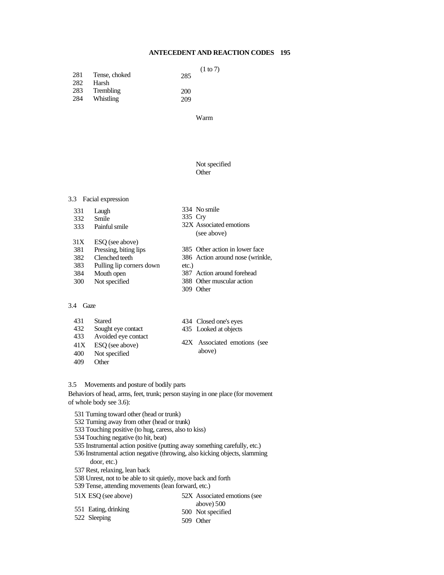| 281 | Tense, choked | 285 | (1 to 7) |
|-----|---------------|-----|----------|
| 282 | Harsh         |     |          |
| 283 | Trembling     | 200 |          |
| 284 | Whistling     | 209 |          |

Warm

## Not specified Other

#### 3.3 Facial expression

331 Laugh 332 Smile 333 Painful smile 31X ESQ (see above) 381 Pressing, biting lips<br>382 Clenched teeth 382 Clenched teeth<br>383 Pulling lip corn Pulling lip corners down 384 Mouth open 300 Not specified 334 No smile 335 Cry 32X Associated emotions (see above) 385 Other action in lower face 386 Action around nose (wrinkle, etc.) 387 Action around forehead 388 Other muscular action 309 Other

# 3.4 Gaze

431 Stared<br>432 Sought Sought eye contact 433 Avoided eye contact

- 41X ESQ (see above)
- 400 Not specified
- 409 Other
- 434 Closed one's eyes
- 435 Looked at objects
- 42X Associated emotions (see above)

52X Associated emotions (see

### 3.5 Movements and posture of bodily parts

Behaviors of head, arms, feet, trunk; person staying in one place (for movement of whole body see 3.6):

- 531 Turning toward other (head or trunk)
- 532 Turning away from other (head or trunk)
- 533 Touching positive (to hug, caress, also to kiss)
- 534 Touching negative (to hit, beat)
- 535 Instrumental action positive (putting away something carefully, etc.)
- 536 Instrumental action negative (throwing, also kicking objects, slamming

### door, etc.)

- 537 Rest, relaxing, lean back
- 538 Unrest, not to be able to sit quietly, move back and forth

539 Tense, attending movements (lean forward, etc.)

### 51X ESQ (see above)

551 Eating, drinking 522 Sleeping above) 500 500 Not specified 509 Other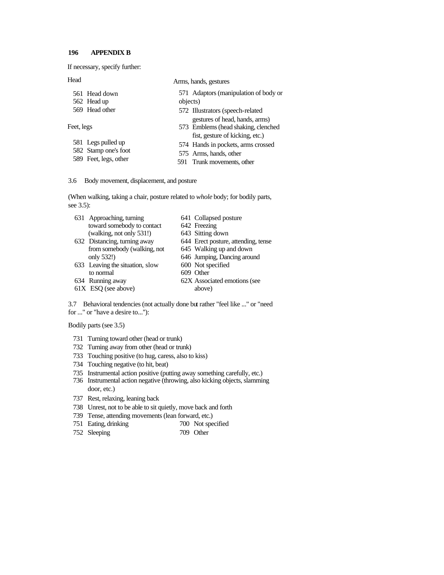If necessary, specify further:

Head

|  |  | Arms, hands, gestures |
|--|--|-----------------------|
|--|--|-----------------------|

| 561 Head down         | 571 Adaptors (manipulation of body or                                                                    |
|-----------------------|----------------------------------------------------------------------------------------------------------|
| 562 Head up           | objects)                                                                                                 |
| 569 Head other        | 572 Illustrators (speech-related                                                                         |
| Feet, legs            | gestures of head, hands, arms)<br>573 Emblems (head shaking, clenched<br>fist, gesture of kicking, etc.) |
| 581 Legs pulled up    | 574 Hands in pockets, arms crossed                                                                       |
| 582 Stamp one's foot  | 575 Arms, hands, other                                                                                   |
| 589 Feet, legs, other | 591 Trunk movements, other                                                                               |

### 3.6 Body movement, displacement, and posture

(When walking, taking a chair, posture related to *whole* body; for bodily parts, see 3.5):

| 631 Approaching, turning        | 641 Collapsed posture               |
|---------------------------------|-------------------------------------|
| toward somebody to contact      | 642 Freezing                        |
| (walking, not only 531!)        | 643 Sitting down                    |
| 632 Distancing, turning away    | 644 Erect posture, attending, tense |
| from somebody (walking, not     | 645 Walking up and down             |
| only 532!)                      | 646 Jumping, Dancing around         |
| 633 Leaving the situation, slow | 600 Not specified                   |
| to normal                       | 609 Other                           |
| 634 Running away                | 62X Associated emotions (see        |
| 61X ESQ (see above)             | above)                              |
|                                 |                                     |

3.7 Behavioral tendencies (not actually done but rather "feel like ..." or "need for ..." or "have a desire to...''):

Bodily parts (see 3.5)

- 731 Turning toward other (head or trunk)
- 732 Turning away from other (head or trunk)
- 733 Touching positive (to hug, caress, also to kiss)
- 734 Touching negative (to hit, beat)
- 735 Instrumental action positive (putting away something carefully, etc.)
- 736 Instrumental action negative (throwing, also kicking objects, slamming door, etc.)
- 737 Rest, relaxing, leaning back
- 738 Unrest, not to be able to sit quietly, move back and forth
- 739 Tense, attending movements (lean forward, etc.)
- 751 Eating, drinking 700 Not specified
- 752 Sleeping 709 Other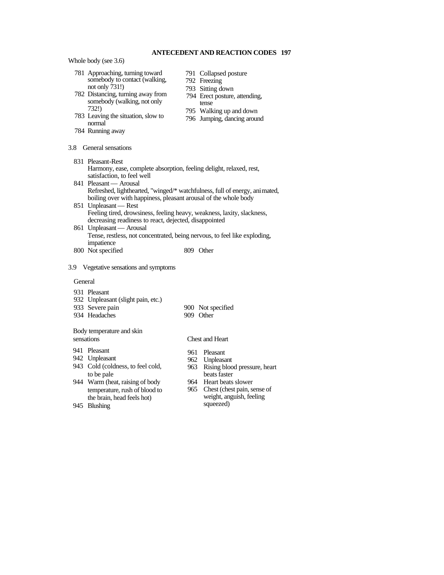Whole body (see 3.6)

- 781 Approaching, turning toward somebody to contact (walking, not only 731!)
- 782 Distancing, turning away from somebody (walking, not only 732!)
- 783 Leaving the situation, slow to normal
- 784 Running away
- 3.8 General sensations
	- 831 Pleasant-Rest Harmony, ease, complete absorption, feeling delight, relaxed, rest, satisfaction, to feel well
	- 841 Pleasant Arousal Refreshed, lighthearted, "winged/\* watchfulness, full of energy, animated, boiling over with happiness, pleasant arousal of the whole body
	- 851 Unpleasant Rest Feeling tired, drowsiness, feeling heavy, weakness, laxity, slackness, decreasing readiness to react, dejected, disappointed
	- 861 Unpleasant Arousal Tense, restless, not concentrated, being nervous, to feel like exploding, impatience
	- 800 Not specified 809 Other
- 3.9 Vegetative sensations and symptoms

#### General

- 931 Pleasant
- 932 Unpleasant (slight pain, etc.)<br>933 Severe pain
	-
- 934 Headaches
- 900 Not specified<br>909 Other
- 

### Body temperature and skin sensations

- 941 Pleasant
- 942 Unpleasant
- 943 Cold (coldness, to feel cold, to be pale
- 944 Warm (heat, raising of body temperature, rush of blood to the brain, head feels hot)
- Chest and Heart
- 961 Pleasant
- 962 Unpleasant
- 963 Rising blood pressure, heart beats faster
- 964 Heart beats slower
- 965 Chest (chest pain, sense of weight, anguish, feeling squeezed)

945 Blushing

- 791 Collapsed posture
- 792 Freezing
- 793 Sitting down
- 794 Erect posture, attending, tense
- 795 Walking up and down
- 796 Jumping, dancing around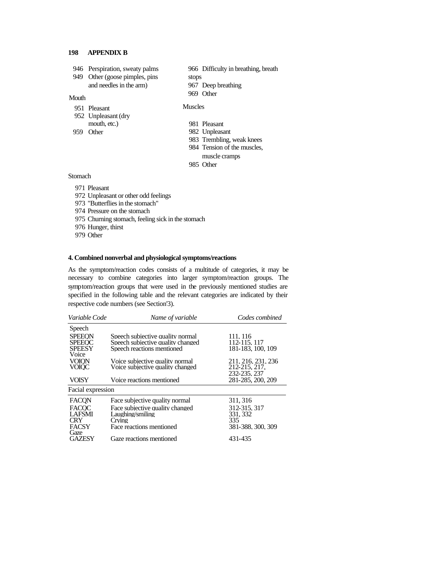- 946 Perspiration, sweaty palms
- 949 Other (goose pimples, pins and needles in the arm)

Mouth

Muscles

stops

969 Other

952 Unpleasant (dry

951 Pleasant

mouth, etc.) 959 Other

- 981 Pleasant
- 982 Unpleasant

967 Deep breathing

983 Trembling, weak knees

966 Difficulty in breathing, breath

- 984 Tension of the muscles,
- muscle cramps
- 985 Other

## Stomach

- 971 Pleasant
- 972 Unpleasant or other odd feelings
- 973 "Butterflies in the stomach"
- 974 Pressure on the stomach
- 975 Churning stomach, feeling sick in the stomach
- 976 Hunger, thirst
- 979 Other

### **4. Combined nonverbal and physiological symptoms/reactions**

As the symptom/reaction codes consists of a multitude of categories, it may be necessary to combine categories into larger symptom/reaction groups. The symptom/reaction groups that were used in the previously mentioned studies are specified in the following table and the relevant categories are indicated by their respective code numbers (see Section'3).

| Variable Code     | Name of variable                  | Codes combined     |
|-------------------|-----------------------------------|--------------------|
| Speech            |                                   |                    |
| <b>SPEEON</b>     | Speech subjective quality normal  | 111.116            |
| <b>SPEEOC</b>     | Speech subjective quality changed | 112-115, 117       |
| <b>SPEESY</b>     | Speech reactions mentioned        | 181-183, 100, 109  |
| Voice             |                                   |                    |
| <b>VOION</b>      | Voice subjective quality normal   | 211, 216, 231, 236 |
| VOIOC             | Voice subjective quality changed  | 212-215, 217,      |
|                   |                                   | 232-235, 237       |
| <b>VOISY</b>      | Voice reactions mentioned         | 281-285, 200, 209  |
| Facial expression |                                   |                    |
| FACQN             | Face subjective quality normal    | 311, 316           |
| <b>FACOC</b>      | Face subjective quality changed   | 312-315, 317       |
| <b>LAFSMI</b>     | Laughing/smiling                  | 331, 332           |
| CRY               | Crving                            | 335                |
| <b>FACSY</b>      | Face reactions mentioned          | 381-388, 300, 309  |
| Gaze              |                                   |                    |
| GAZESY            | Gaze reactions mentioned          | 431-435            |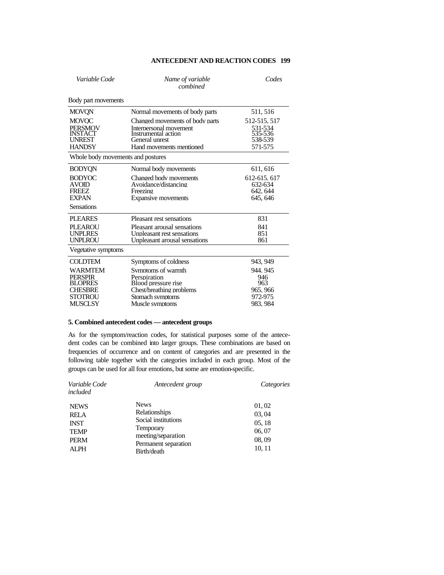| Variable Code                                                                      | Name of variable<br>combined                                                                                                   | Codes                                                    |
|------------------------------------------------------------------------------------|--------------------------------------------------------------------------------------------------------------------------------|----------------------------------------------------------|
| Body part movements                                                                |                                                                                                                                |                                                          |
| <b>MOVON</b>                                                                       | Normal movements of body parts                                                                                                 | 511, 516                                                 |
| <b>MOVOC</b><br><b>PERSMOV</b><br><b>INSTAC1</b><br><b>UNREST</b><br><b>HANDSY</b> | Changed movements of body parts<br>Interpersonal movement<br>Instrumental action<br>General unrest<br>Hand movements mentioned | 512-515, 517<br>531-534<br>535-536<br>538-539<br>571-575 |
| Whole body movements and postures                                                  |                                                                                                                                |                                                          |
| <b>BODYON</b>                                                                      | Normal body movements                                                                                                          | 611, 616                                                 |
| <b>BODYOC</b><br><b>AVOID</b><br><b>FREEZ</b><br><b>EXPAN</b><br><b>Sensations</b> | Changed body movements<br>Avoidance/distancing<br>Freezing<br>Expansive movements                                              | 612-615, 617<br>632-634<br>642.644<br>645.646            |
| <b>PLEARES</b>                                                                     | Pleasant rest sensations                                                                                                       | 831                                                      |
| PLEAROU<br><b>UNPLRES</b><br><b>UNPLROU</b>                                        | Pleasant arousal sensations<br>Unpleasant rest sensations<br>Unpleasant arousal sensations                                     | 841<br>851<br>861                                        |
| Vegetative symptoms                                                                |                                                                                                                                |                                                          |
| <b>COLDTEM</b>                                                                     | Symptoms of coldness                                                                                                           | 943, 949                                                 |
| WARMTEM<br><b>PERSPIR</b><br><b>BLOPRES</b><br><b>CHESBRE</b><br><b>STOTROU</b>    | Symptoms of warmth<br>Perspiration<br>Blood pressure rise<br>Chest/breathing problems<br>Stomach symptoms                      | 944.945<br>946<br>963<br>965.966<br>972-975              |
| MUSCLSY                                                                            | Muscle symptoms                                                                                                                | 983.984                                                  |

## **5. Combined antecedent codes — antecedent groups**

As for the symptom/reaction codes, for statistical purposes some of the antecedent codes can be combined into larger groups. These combinations are based on frequencies of occurrence and on content of categories and are presented in the following table together with the categories included in each group. Most of the groups can be used for all four emotions, but some are emotion-specific.

| Variable Code<br>included                                                              | Antecedent group                                                                                                                     | Categories                                           |
|----------------------------------------------------------------------------------------|--------------------------------------------------------------------------------------------------------------------------------------|------------------------------------------------------|
| <b>NEWS</b><br><b>RELA</b><br><b>INST</b><br><b>TEMP</b><br><b>PERM</b><br><b>ALPH</b> | <b>News</b><br>Relationships<br>Social institutions<br><b>Temporary</b><br>meeting/separation<br>Permanent separation<br>Birth/death | 01,02<br>03,04<br>05, 18<br>06,07<br>08,09<br>10, 11 |